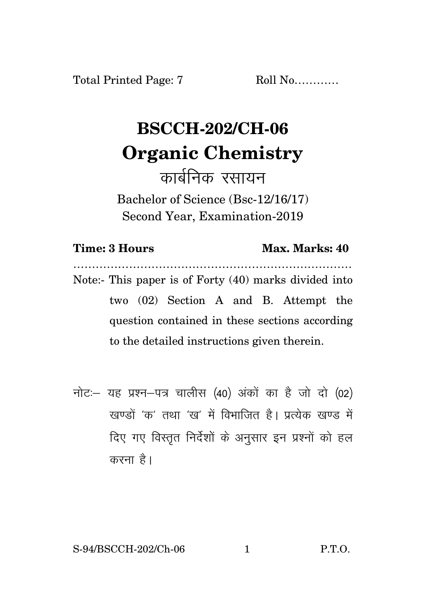Total Printed Page: 7 Roll No...........

## **BSCCH-202/CH-06 Organic Chemistry**

कार्बनिक रसायन Bachelor of Science (Bsc-12/16/17) Second Year, Examination-2019

| <b>Time: 3 Hours</b> |
|----------------------|
|----------------------|

## **Max. Marks: 40**

………………………………………………………………… Note:- This paper is of Forty (40) marks divided into two (02) Section A and B. Attempt the question contained in these sections according to the detailed instructions given therein.

 $\vec{\eta}$ नोटः यह प्रश्न-पत्र चालीस (40) अंकों का है जो दो (02) .<br>रवण्डों 'क' तथा 'रव' में विभाजित है। प्रत्येक रवण्ड में दिए गए विस्तृत निर्देशों के अनुसार इन प्रश्नों को हल करना है।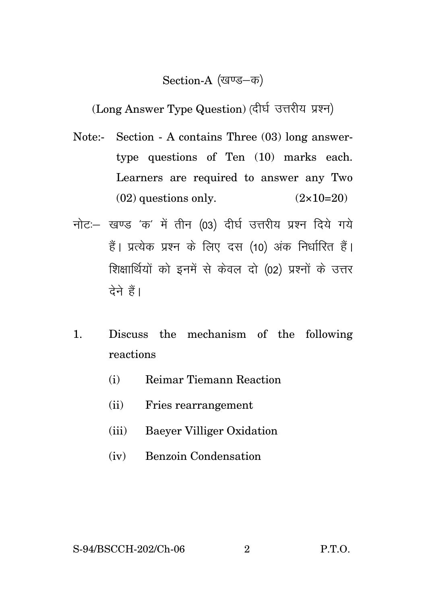## Section-A (खण्ड-क)

(Long Answer Type Question) (दीर्घ उत्तरीय प्रश्न)

- Note:- Section A contains Three (03) long answertype questions of Ten (10) marks each. Learners are required to answer any Two  $(02)$  questions only.  $(2 \times 10=20)$
- नोट: खण्ड 'क' में तीन (03) दीर्घ उत्तरीय प्रश्न दिये गये हैं। प्रत्येक प्रश्न के लिए दस (10) अंक निर्धारित हैं। शिक्षार्थियों को इनमें से केवल दो (02) प्रश्नों के उत्तर देने हैं।
- 1. Discuss the mechanism of the following reactions
	- (i) Reimar Tiemann Reaction
	- (ii) Fries rearrangement
	- (iii) Baeyer Villiger Oxidation
	- (iv) Benzoin Condensation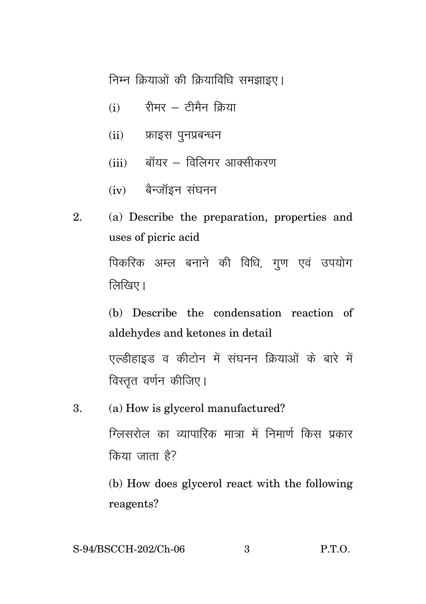निम्न क्रियाओं की क्रियाविधि समझाइए।

- $(i)$  रीमर टीमैन क्रिया
- $(ii)$  फ्राइस पुनप्रबन्धन
- $(iii)$  बॉयर विलिगर आक्सीकरण
- $(iv)$  बैन्जॉइन संघनन
- 2. (a) Describe the preparation, properties and uses of picric acid पिकरिक अम्ल बनाने की विधि, गण एवं उपयोग  $\sqrt{a}$ खिए।

(b) Describe the condensation reaction of aldehydes and ketones in detail एल्डीहाइड व कीटोन में संघनन क्रियाओं के बारे में विस्तृत वर्णन कीजिए।

3. (a) How is glycerol manufactured? ग्लिसरोल का व्यापारिक मात्रा में निमार्ण किस पकार  $\theta$ किया जाता है?

> (b) How does glycerol react with the following reagents?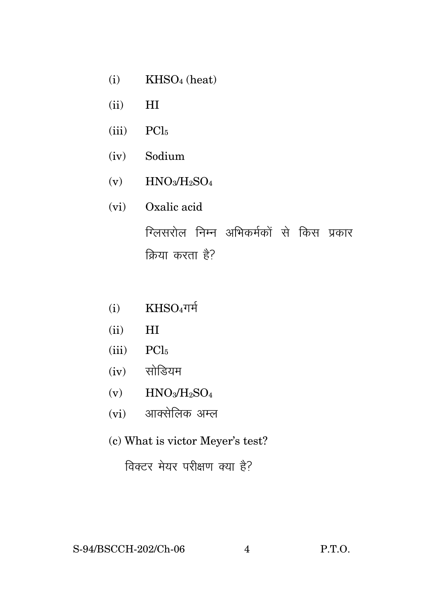- $(i)$  KHSO<sub>4</sub> (heat)
- (ii) HI
- $(iii)$  PCl<sub>5</sub>
- (iv) Sodium
- $(v)$  HNO<sub>3</sub>/H<sub>2</sub>SO<sub>4</sub>
- (vi) Oxalic acid

ग्लिसरोल निम्न अभिकर्मकों से किस प्रकार क्रिया करता है?

- $(i)$  KHSO4 $\text{Tr}$
- (ii) HI
- $(iii)$  PCl<sub>5</sub>
- $(iv)$  सोडियम
- $(v)$  HNO<sub>3</sub>/H<sub>2</sub>SO<sub>4</sub>
- $(vi)$  आक्सेलिक अम्ल
- (c) What is victor Meyer's test?

विक्टर मेयर परीक्षण क्या है?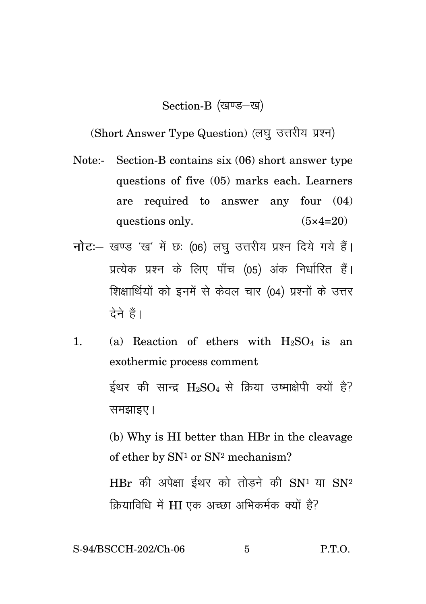Section-B (खण्ड-ख)

(Short Answer Type Question) (लघु उत्तरीय प्रश्न)

- Note:- Section-B contains six (06) short answer type questions of five (05) marks each. Learners are required to answer any four (04) questions only.  $(5 \times 4=20)$
- **नोट**: खण्ड 'ख' में छः (06) लघु उत्तरीय प्रश्न दिये गये हैं। प्रत्येक प्रश्न के लिए पाँच (05) अंक निर्धारित हैं। शिक्षार्थियों को इनमें से केवल चार (04) प्रश्नों के उत्तर टेने हैं।
- 1. (a) Reaction of ethers with  $H_2SO_4$  is an exothermic process comment ईथर की सान्द्र  $H_2SO_4$  से क्रिया उष्माक्षेपी क्यों है? समझाइए।

(b) Why is HI better than HBr in the cleavage of ether by  $SN<sup>1</sup>$  or  $SN<sup>2</sup>$  mechanism?

 $HBr$  की अपेक्षा ईथर को तोड़ने की  $SN<sup>1</sup>$  या  $SN<sup>2</sup>$ क्रियाविधि में HI एक अच्छा अभिकर्मक क्यों है?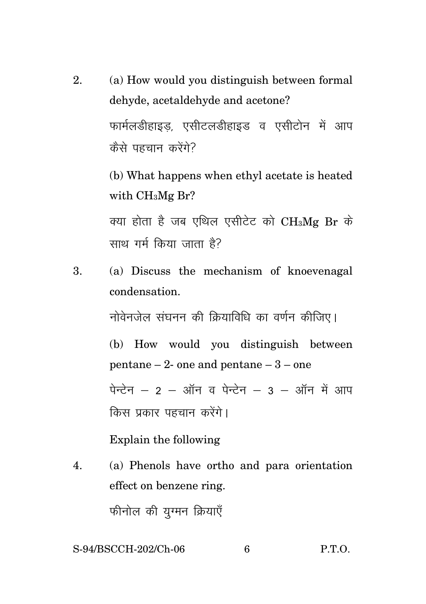2. (a) How would you distinguish between formal dehyde, acetaldehyde and acetone? फार्मलडीहाइड, एसीटलडीहाइड व एसीटोन में आप कैसे पहचान करेंगे?

> (b) What happens when ethyl acetate is heated with CH3Mg Br?

> क्या होता है जब एथिल एसीटेट को  $\rm CH_3Mg$  Br के साथ गर्म किया जाता है?

3. (a) Discuss the mechanism of knoevenagal condensation.

नोवेनजेल संघनन की कियाविधि का वर्णन कीजिए।

(b) How would you distinguish between pentane – 2- one and pentane – 3 – one  $\dot{a}$  क्टेन – 2 – ऑन व पेन्टेन – 3 – ऑन में आप

Explain the following

किस प्रकार पहचान करेंगे।

4. (a) Phenols have ortho and para orientation effect on benzene ring.

फीनोल की यग्मन क्रियाएँ